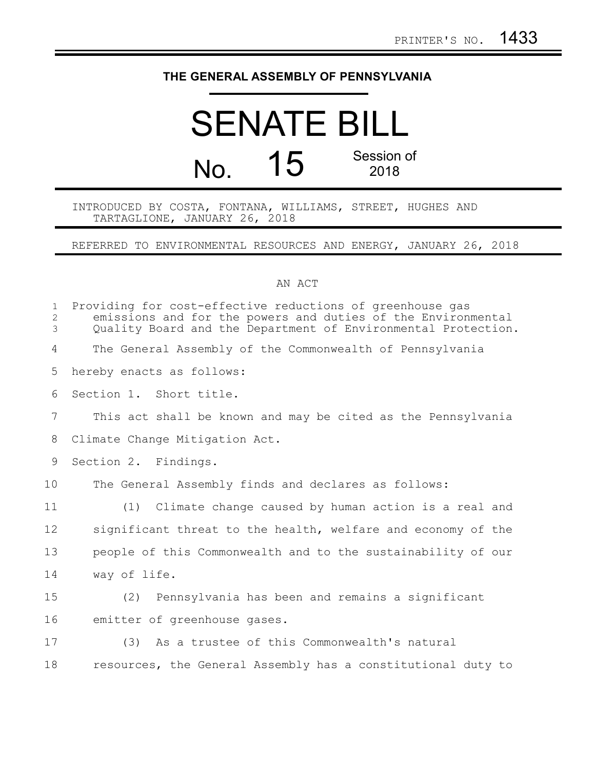## **THE GENERAL ASSEMBLY OF PENNSYLVANIA**

## SENATE BILL No. 15 Session of 2018

INTRODUCED BY COSTA, FONTANA, WILLIAMS, STREET, HUGHES AND TARTAGLIONE, JANUARY 26, 2018

REFERRED TO ENVIRONMENTAL RESOURCES AND ENERGY, JANUARY 26, 2018

## AN ACT

| $\mathbf{1}$<br>2<br>3 | Providing for cost-effective reductions of greenhouse gas<br>emissions and for the powers and duties of the Environmental<br>Quality Board and the Department of Environmental Protection. |
|------------------------|--------------------------------------------------------------------------------------------------------------------------------------------------------------------------------------------|
| 4                      | The General Assembly of the Commonwealth of Pennsylvania                                                                                                                                   |
| 5                      | hereby enacts as follows:                                                                                                                                                                  |
| 6                      | Section 1. Short title.                                                                                                                                                                    |
| $\overline{7}$         | This act shall be known and may be cited as the Pennsylvania                                                                                                                               |
| 8                      | Climate Change Mitigation Act.                                                                                                                                                             |
| 9                      | Section 2. Findings.                                                                                                                                                                       |
| 10                     | The General Assembly finds and declares as follows:                                                                                                                                        |
| 11                     | (1) Climate change caused by human action is a real and                                                                                                                                    |
| 12                     | significant threat to the health, welfare and economy of the                                                                                                                               |
| 13                     | people of this Commonwealth and to the sustainability of our                                                                                                                               |
| 14                     | way of life.                                                                                                                                                                               |
| 15                     | (2) Pennsylvania has been and remains a significant                                                                                                                                        |
| 16                     | emitter of greenhouse gases.                                                                                                                                                               |
| 17                     | (3) As a trustee of this Commonwealth's natural                                                                                                                                            |
| 18                     | resources, the General Assembly has a constitutional duty to                                                                                                                               |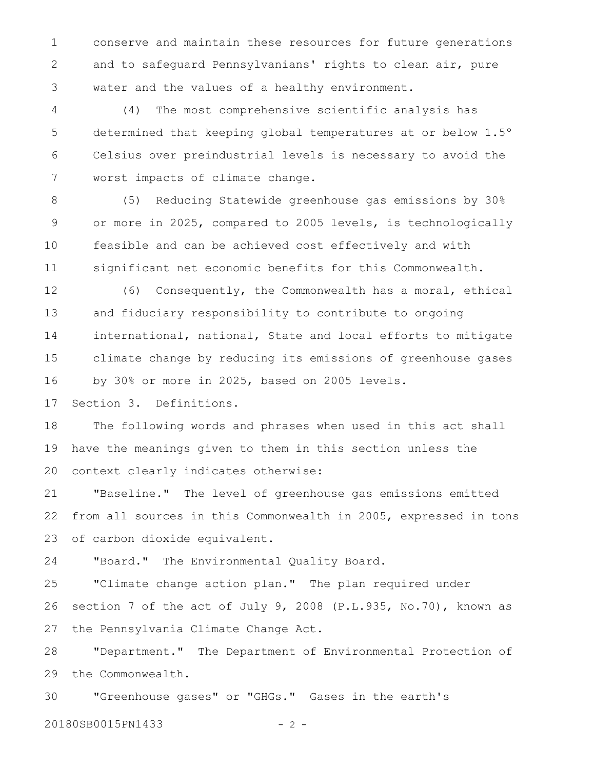conserve and maintain these resources for future generations and to safeguard Pennsylvanians' rights to clean air, pure water and the values of a healthy environment. 1 2 3

(4) The most comprehensive scientific analysis has determined that keeping global temperatures at or below 1.5º Celsius over preindustrial levels is necessary to avoid the worst impacts of climate change. 4 5 6 7

(5) Reducing Statewide greenhouse gas emissions by 30% or more in 2025, compared to 2005 levels, is technologically feasible and can be achieved cost effectively and with significant net economic benefits for this Commonwealth. 8 9 10 11

(6) Consequently, the Commonwealth has a moral, ethical and fiduciary responsibility to contribute to ongoing international, national, State and local efforts to mitigate climate change by reducing its emissions of greenhouse gases by 30% or more in 2025, based on 2005 levels. 12 13 14 15 16

Section 3. Definitions. 17

The following words and phrases when used in this act shall have the meanings given to them in this section unless the context clearly indicates otherwise: 18 19 20

"Baseline." The level of greenhouse gas emissions emitted from all sources in this Commonwealth in 2005, expressed in tons of carbon dioxide equivalent. 21 22 23

"Board." The Environmental Quality Board. 24

"Climate change action plan." The plan required under section 7 of the act of July 9, 2008 (P.L.935, No.70), known as the Pennsylvania Climate Change Act. 25 26 27

"Department." The Department of Environmental Protection of the Commonwealth. 28 29

"Greenhouse gases" or "GHGs." Gases in the earth's 30

20180SB0015PN1433 - 2 -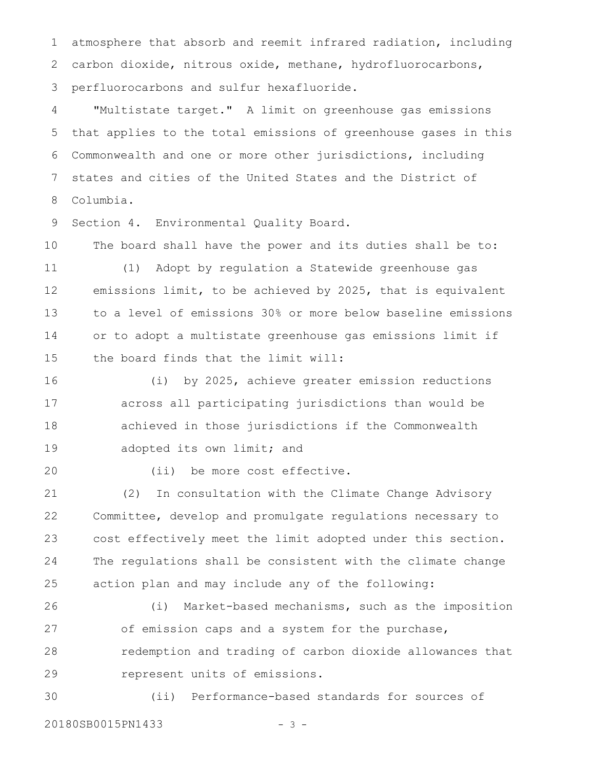atmosphere that absorb and reemit infrared radiation, including carbon dioxide, nitrous oxide, methane, hydrofluorocarbons, perfluorocarbons and sulfur hexafluoride. 1 2 3

"Multistate target." A limit on greenhouse gas emissions that applies to the total emissions of greenhouse gases in this Commonwealth and one or more other jurisdictions, including states and cities of the United States and the District of Columbia. 4 5 6 7 8

Section 4. Environmental Quality Board. 9

The board shall have the power and its duties shall be to: 10

(1) Adopt by regulation a Statewide greenhouse gas emissions limit, to be achieved by 2025, that is equivalent to a level of emissions 30% or more below baseline emissions or to adopt a multistate greenhouse gas emissions limit if the board finds that the limit will: 11 12 13 14 15

(i) by 2025, achieve greater emission reductions across all participating jurisdictions than would be achieved in those jurisdictions if the Commonwealth adopted its own limit; and 16 17 18 19

20

(ii) be more cost effective.

(2) In consultation with the Climate Change Advisory Committee, develop and promulgate regulations necessary to cost effectively meet the limit adopted under this section. The regulations shall be consistent with the climate change action plan and may include any of the following: 21 22 23 24 25

(i) Market-based mechanisms, such as the imposition of emission caps and a system for the purchase, redemption and trading of carbon dioxide allowances that represent units of emissions. 26 27 28 29

(ii) Performance-based standards for sources of 20180SB0015PN1433 - 3 -30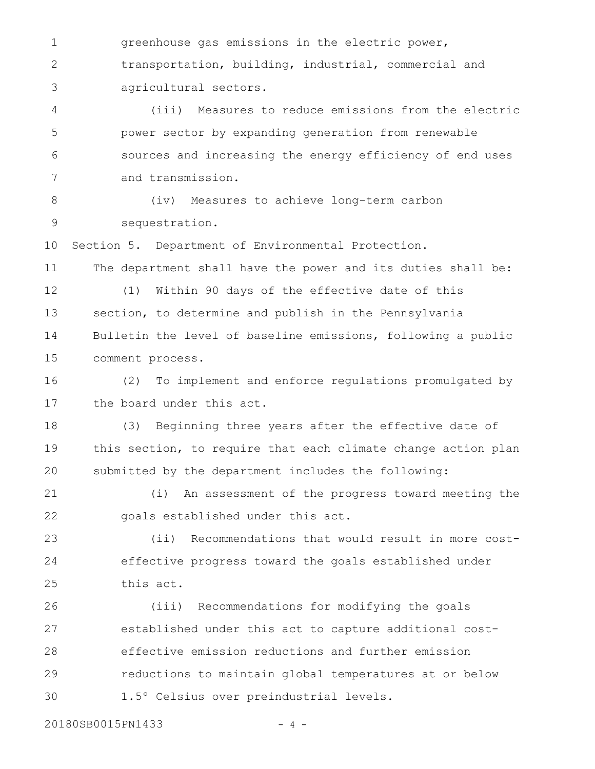greenhouse gas emissions in the electric power, transportation, building, industrial, commercial and agricultural sectors. (iii) Measures to reduce emissions from the electric power sector by expanding generation from renewable sources and increasing the energy efficiency of end uses and transmission. (iv) Measures to achieve long-term carbon sequestration. Section 5. Department of Environmental Protection. The department shall have the power and its duties shall be: (1) Within 90 days of the effective date of this section, to determine and publish in the Pennsylvania Bulletin the level of baseline emissions, following a public comment process. (2) To implement and enforce regulations promulgated by the board under this act. (3) Beginning three years after the effective date of this section, to require that each climate change action plan submitted by the department includes the following: (i) An assessment of the progress toward meeting the goals established under this act. (ii) Recommendations that would result in more costeffective progress toward the goals established under this act. (iii) Recommendations for modifying the goals established under this act to capture additional costeffective emission reductions and further emission reductions to maintain global temperatures at or below 1.5º Celsius over preindustrial levels. 1 2 3 4 5 6 7 8 9 10 11 12 13 14 15 16 17 18 19 20 21 22 23 24 25 26 27 28 29 30

20180SB0015PN1433 - 4 -